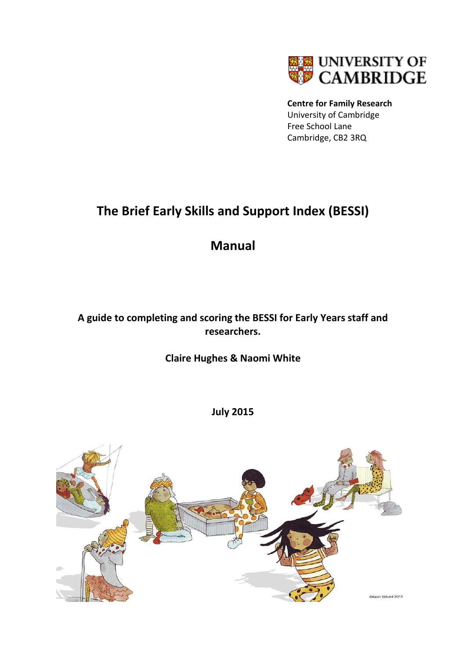

**Centre for Family Research** University of Cambridge Free School Lane Cambridge, CB2 3RQ

# **The Brief Early Skills and Support Index (BESSI)**

# **Manual**

# **A guide to completing and scoring the BESSI for Early Years staff and researchers.**

# **Claire Hughes & Naomi White**

**July 2015**

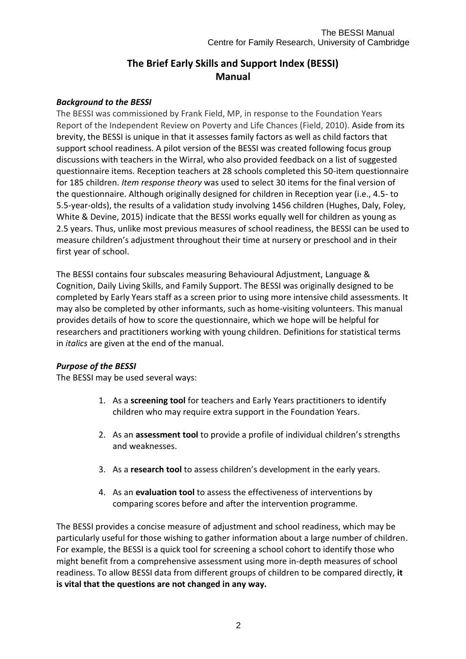## **The Brief Early Skills and Support Index (BESSI) Manual**

#### *Background to the BESSI*

The BESSI was commissioned by Frank Field, MP, in response to the Foundation Years Report of the Independent Review on Poverty and Life Chances (Field, 2010). Aside from its brevity, the BESSI is unique in that it assesses family factors as well as child factors that support school readiness. A pilot version of the BESSI was created following focus group discussions with teachers in the Wirral, who also provided feedback on a list of suggested questionnaire items. Reception teachers at 28 schools completed this 50-item questionnaire for 185 children. *Item response theory* was used to select 30 items for the final version of the questionnaire. Although originally designed for children in Reception year (i.e., 4.5- to 5.5-year-olds), the results of a validation study involving 1456 children (Hughes, Daly, Foley, White & Devine, 2015) indicate that the BESSI works equally well for children as young as 2.5 years. Thus, unlike most previous measures of school readiness, the BESSI can be used to measure children's adjustment throughout their time at nursery or preschool and in their first year of school.

The BESSI contains four subscales measuring Behavioural Adjustment, Language & Cognition, Daily Living Skills, and Family Support. The BESSI was originally designed to be completed by Early Years staff as a screen prior to using more intensive child assessments. It may also be completed by other informants, such as home-visiting volunteers. This manual provides details of how to score the questionnaire, which we hope will be helpful for researchers and practitioners working with young children. Definitions for statistical terms in *italics* are given at the end of the manual.

#### *Purpose of the BESSI*

The BESSI may be used several ways:

- 1. As a **screening tool** for teachers and Early Years practitioners to identify children who may require extra support in the Foundation Years.
- 2. As an **assessment tool** to provide a profile of individual children's strengths and weaknesses.
- 3. As a **research tool** to assess children's development in the early years.
- 4. As an **evaluation tool** to assess the effectiveness of interventions by comparing scores before and after the intervention programme.

The BESSI provides a concise measure of adjustment and school readiness, which may be particularly useful for those wishing to gather information about a large number of children. For example, the BESSI is a quick tool for screening a school cohort to identify those who might benefit from a comprehensive assessment using more in-depth measures of school readiness. To allow BESSI data from different groups of children to be compared directly, **it is vital that the questions are not changed in any way.**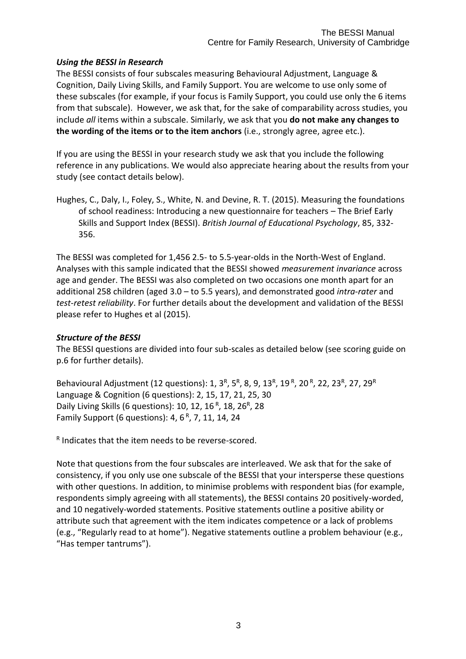#### *Using the BESSI in Research*

The BESSI consists of four subscales measuring Behavioural Adjustment, Language & Cognition, Daily Living Skills, and Family Support. You are welcome to use only some of these subscales (for example, if your focus is Family Support, you could use only the 6 items from that subscale). However, we ask that, for the sake of comparability across studies, you include *all* items within a subscale. Similarly, we ask that you **do not make any changes to the wording of the items or to the item anchors** (i.e., strongly agree, agree etc.).

If you are using the BESSI in your research study we ask that you include the following reference in any publications. We would also appreciate hearing about the results from your study (see contact details below).

Hughes, C., Daly, I., Foley, S., White, N. and Devine, R. T. (2015). Measuring the foundations of school readiness: Introducing a new questionnaire for teachers – The Brief Early Skills and Support Index (BESSI). *British Journal of Educational Psychology*, 85, 332- 356.

The BESSI was completed for 1,456 2.5- to 5.5-year-olds in the North-West of England. Analyses with this sample indicated that the BESSI showed *measurement invariance* across age and gender. The BESSI was also completed on two occasions one month apart for an additional 258 children (aged 3.0 – to 5.5 years), and demonstrated good *intra-rater* and *test-retest reliability*. For further details about the development and validation of the BESSI please refer to Hughes et al (2015).

#### *Structure of the BESSI*

The BESSI questions are divided into four sub-scales as detailed below (see scoring guide on p.6 for further details).

Behavioural Adjustment (12 questions): 1, 3<sup>R</sup>, 5<sup>R</sup>, 8, 9, 13<sup>R</sup>, 19<sup>R</sup>, 20<sup>R</sup>, 22, 23<sup>R</sup>, 27, 29<sup>R</sup> Language & Cognition (6 questions): 2, 15, 17, 21, 25, 30 Daily Living Skills (6 questions): 10, 12, 16<sup>R</sup>, 18, 26<sup>R</sup>, 28 Family Support (6 questions): 4, 6<sup>R</sup>, 7, 11, 14, 24

R Indicates that the item needs to be reverse-scored.

Note that questions from the four subscales are interleaved. We ask that for the sake of consistency, if you only use one subscale of the BESSI that your intersperse these questions with other questions. In addition, to minimise problems with respondent bias (for example, respondents simply agreeing with all statements), the BESSI contains 20 positively-worded, and 10 negatively-worded statements. Positive statements outline a positive ability or attribute such that agreement with the item indicates competence or a lack of problems (e.g., "Regularly read to at home"). Negative statements outline a problem behaviour (e.g., "Has temper tantrums").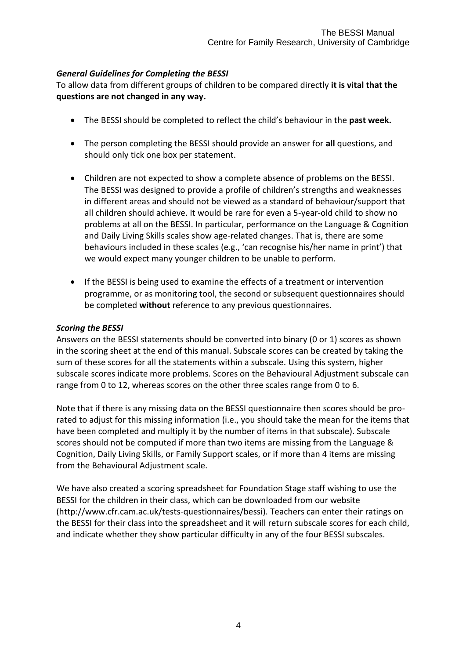#### *General Guidelines for Completing the BESSI*

To allow data from different groups of children to be compared directly **it is vital that the questions are not changed in any way.**

- The BESSI should be completed to reflect the child's behaviour in the **past week.**
- The person completing the BESSI should provide an answer for **all** questions, and should only tick one box per statement.
- Children are not expected to show a complete absence of problems on the BESSI. The BESSI was designed to provide a profile of children's strengths and weaknesses in different areas and should not be viewed as a standard of behaviour/support that all children should achieve. It would be rare for even a 5-year-old child to show no problems at all on the BESSI. In particular, performance on the Language & Cognition and Daily Living Skills scales show age-related changes. That is, there are some behaviours included in these scales (e.g., 'can recognise his/her name in print') that we would expect many younger children to be unable to perform.
- If the BESSI is being used to examine the effects of a treatment or intervention programme, or as monitoring tool, the second or subsequent questionnaires should be completed **without** reference to any previous questionnaires.

#### *Scoring the BESSI*

Answers on the BESSI statements should be converted into binary (0 or 1) scores as shown in the scoring sheet at the end of this manual. Subscale scores can be created by taking the sum of these scores for all the statements within a subscale. Using this system, higher subscale scores indicate more problems. Scores on the Behavioural Adjustment subscale can range from 0 to 12, whereas scores on the other three scales range from 0 to 6.

Note that if there is any missing data on the BESSI questionnaire then scores should be prorated to adjust for this missing information (i.e., you should take the mean for the items that have been completed and multiply it by the number of items in that subscale). Subscale scores should not be computed if more than two items are missing from the Language & Cognition, Daily Living Skills, or Family Support scales, or if more than 4 items are missing from the Behavioural Adjustment scale.

We have also created a scoring spreadsheet for Foundation Stage staff wishing to use the BESSI for the children in their class, which can be downloaded from our website (http://www.cfr.cam.ac.uk/tests-questionnaires/bessi). Teachers can enter their ratings on the BESSI for their class into the spreadsheet and it will return subscale scores for each child, and indicate whether they show particular difficulty in any of the four BESSI subscales.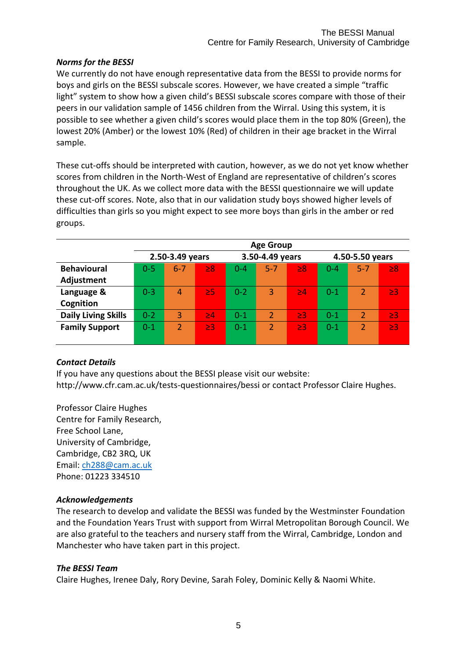#### *Norms for the BESSI*

We currently do not have enough representative data from the BESSI to provide norms for boys and girls on the BESSI subscale scores. However, we have created a simple "traffic light" system to show how a given child's BESSI subscale scores compare with those of their peers in our validation sample of 1456 children from the Wirral. Using this system, it is possible to see whether a given child's scores would place them in the top 80% (Green), the lowest 20% (Amber) or the lowest 10% (Red) of children in their age bracket in the Wirral sample.

These cut-offs should be interpreted with caution, however, as we do not yet know whether scores from children in the North-West of England are representative of children's scores throughout the UK. As we collect more data with the BESSI questionnaire we will update these cut-off scores. Note, also that in our validation study boys showed higher levels of difficulties than girls so you might expect to see more boys than girls in the amber or red groups.

|                            | <b>Age Group</b> |                |          |                   |                |          |                 |                |          |  |  |
|----------------------------|------------------|----------------|----------|-------------------|----------------|----------|-----------------|----------------|----------|--|--|
|                            | 2.50-3.49 years  |                |          | 3.50-4.49 years   |                |          | 4.50-5.50 years |                |          |  |  |
| <b>Behavioural</b>         | $0 - 5$          | $6 - 7$        | $\geq 8$ | $0 - 4$           | $5 - 7$        | $\geq 8$ | $0 - 4$         | $5 - 7$        | $\geq 8$ |  |  |
| Adjustment                 |                  |                |          |                   |                |          |                 |                |          |  |  |
| Language &                 | $0 - 3$          | 4              | $\geq$ 5 | $0 - 2$           | 3              | >4       | $0 - 1$         | 2              | $\geq$ 3 |  |  |
| Cognition                  |                  |                |          |                   |                |          |                 |                |          |  |  |
| <b>Daily Living Skills</b> | $0 - 2$          | $\overline{3}$ | $\geq 4$ | $0 - 1$           | $\overline{2}$ | $\geq$ 3 | $0 - 1$         | $\overline{2}$ | $\geq$ 3 |  |  |
| <b>Family Support</b>      | $0 - 1$          | $\overline{2}$ | $\geq$ 3 | $\overline{0}$ -1 | $\overline{2}$ | $\geq$ 3 | $0 - 1$         | $\overline{2}$ | $\geq$ 3 |  |  |
|                            |                  |                |          |                   |                |          |                 |                |          |  |  |

#### *Contact Details*

If you have any questions about the BESSI please visit our website: http://www.cfr.cam.ac.uk/tests-questionnaires/bessi or contact Professor Claire Hughes.

Professor Claire Hughes Centre for Family Research, Free School Lane, University of Cambridge, Cambridge, CB2 3RQ, UK Email: [ch288@cam.ac.uk](mailto:ch288@cam.ac.uk) Phone: 01223 334510

#### *Acknowledgements*

The research to develop and validate the BESSI was funded by the Westminster Foundation and the Foundation Years Trust with support from Wirral Metropolitan Borough Council. We are also grateful to the teachers and nursery staff from the Wirral, Cambridge, London and Manchester who have taken part in this project.

#### *The BESSI Team*

Claire Hughes, Irenee Daly, Rory Devine, Sarah Foley, Dominic Kelly & Naomi White.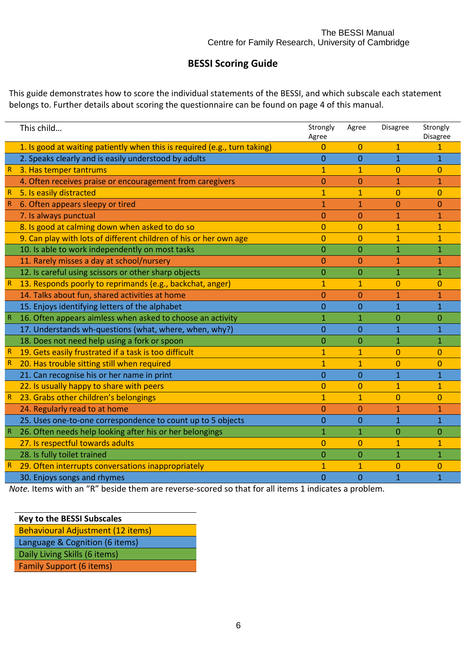### **BESSI Scoring Guide**

This guide demonstrates how to score the individual statements of the BESSI, and which subscale each statement belongs to. Further details about scoring the questionnaire can be found on page 4 of this manual.

|              | This child                                                                | Strongly<br>Agree | Agree          | Disagree       | Strongly<br>Disagree |
|--------------|---------------------------------------------------------------------------|-------------------|----------------|----------------|----------------------|
|              | 1. Is good at waiting patiently when this is required (e.g., turn taking) | $\Omega$          | 0              | $\mathbf{1}$   |                      |
|              | 2. Speaks clearly and is easily understood by adults                      | $\overline{0}$    | $\overline{0}$ | $\overline{1}$ | $\overline{1}$       |
|              | 3. Has temper tantrums                                                    | $\mathbf{1}$      | 1              | 0              | 0                    |
|              | 4. Often receives praise or encouragement from caregivers                 | $\Omega$          | 0              | 1              | $\mathbf{1}$         |
| $\mathsf R$  | 5. Is easily distracted                                                   | $\mathbf{1}$      | $\mathbf{1}$   | $\overline{0}$ | $\overline{0}$       |
|              | 6. Often appears sleepy or tired                                          | 1                 | 1              | 0              | 0                    |
|              | 7. Is always punctual                                                     | 0                 | 0              | 1              | $\mathbf{1}$         |
|              | 8. Is good at calming down when asked to do so                            | $\overline{0}$    | $\overline{0}$ | $\mathbf{1}$   | $\mathbf{1}$         |
|              | 9. Can play with lots of different children of his or her own age         | $\mathbf{0}$      | 0              | 1              | $\mathbf{1}$         |
|              | 10. Is able to work independently on most tasks                           | $\overline{0}$    | $\overline{0}$ | $\mathbf{1}$   | $\mathbf{1}$         |
|              | 11. Rarely misses a day at school/nursery                                 | $\overline{0}$    | 0              | 1              | $\mathbf{1}$         |
|              | 12. Is careful using scissors or other sharp objects                      | $\overline{0}$    | 0              | $\mathbf{1}$   | $\mathbf{1}$         |
| $\mathsf R$  | 13. Responds poorly to reprimands (e.g., backchat, anger)                 | $\mathbf{1}$      | $\mathbf{1}$   | $\Omega$       | 0                    |
|              | 14. Talks about fun, shared activities at home                            | $\overline{0}$    | 0              | 1              | $\mathbf{1}$         |
|              | 15. Enjoys identifying letters of the alphabet                            | $\overline{0}$    | $\overline{0}$ | 1              | $\mathbf{1}$         |
|              | 16. Often appears aimless when asked to choose an activity                | 1                 | 1              | 0              | 0                    |
|              | 17. Understands wh-questions (what, where, when, why?)                    | $\overline{0}$    | $\overline{0}$ | 1              | $\overline{1}$       |
|              | 18. Does not need help using a fork or spoon                              | 0                 | 0              | 1              | $\mathbf 1$          |
| R            | 19. Gets easily frustrated if a task is too difficult                     | 1                 | 1              | $\Omega$       | 0                    |
| $\mathsf R$  | 20. Has trouble sitting still when required                               | $\mathbf{1}$      | $\mathbf{1}$   | $\overline{0}$ | $\overline{0}$       |
|              | 21. Can recognise his or her name in print                                | $\overline{0}$    | 0              | $\mathbf{1}$   | $\mathbf{1}$         |
|              | 22. Is usually happy to share with peers                                  | $\overline{0}$    | 0              | 1              | $\mathbf{1}$         |
| $\mathsf R$  | 23. Grabs other children's belongings                                     | $\mathbf{1}$      | $\mathbf{1}$   | $\overline{0}$ | $\overline{0}$       |
|              | 24. Regularly read to at home                                             | 0                 | 0              | 1              | 1                    |
|              | 25. Uses one-to-one correspondence to count up to 5 objects               | $\mathbf{0}$      | 0              | $\mathbf{1}$   | $\mathbf{1}$         |
|              | 26. Often needs help looking after his or her belongings                  | 1                 | 1              | 0              | $\overline{0}$       |
|              | 27. Is respectful towards adults                                          | $\overline{0}$    | 0              | 1              | $\mathbf{1}$         |
|              | 28. Is fully toilet trained                                               | $\overline{0}$    | $\overline{0}$ | $\overline{1}$ | $\overline{1}$       |
| $\mathbb{R}$ | 29. Often interrupts conversations inappropriately                        | 1                 | 1              | 0              | $\overline{0}$       |
|              | 30. Enjoys songs and rhymes                                               | $\overline{0}$    | $\overline{0}$ | $\mathbf{1}$   | $\mathbf{1}$         |

*Note.* Items with an "R" beside them are reverse-scored so that for all items 1 indicates a problem.

**Key to the BESSI Subscales** Behavioural Adjustment (12 items) Language & Cognition (6 items) Daily Living Skills (6 items) Family Support (6 items)